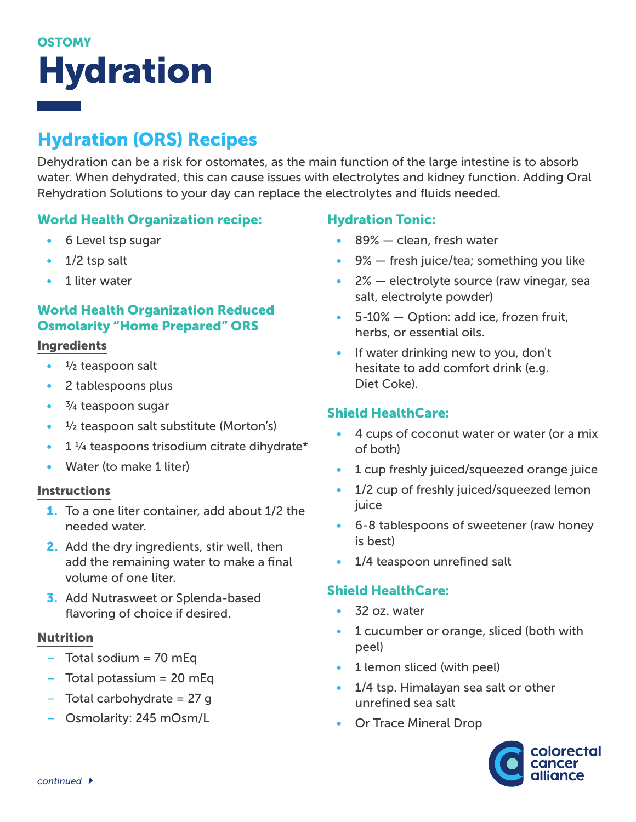

# Hydration (ORS) Recipes

Dehydration can be a risk for ostomates, as the main function of the large intestine is to absorb water. When dehydrated, this can cause issues with electrolytes and kidney function. Adding Oral Rehydration Solutions to your day can replace the electrolytes and fluids needed.

# World Health Organization recipe:

- 6 Level tsp sugar
- $\cdot$  1/2 tsp salt
- 1 liter water

# World Health Organization Reduced Osmolarity "Home Prepared" ORS

#### **Ingredients**

- $\cdot$   $\frac{1}{2}$  teaspoon salt
- 2 tablespoons plus
- $\cdot$   $\frac{3}{4}$  teaspoon sugar
- $\cdot$   $\frac{1}{2}$  teaspoon salt substitute (Morton's)
- $\cdot$  1  $\frac{1}{4}$  teaspoons trisodium citrate dihydrate\*
- Water (to make 1 liter)

#### **Instructions**

- 1. To a one liter container, add about 1/2 the needed water.
- 2. Add the dry ingredients, stir well, then add the remaining water to make a final volume of one liter.
- **3.** Add Nutrasweet or Splenda-based flavoring of choice if desired.

#### Nutrition

- Total sodium = 70 mEq
- $-$  Total potassium = 20 mEq
- Total carbohydrate = 27 g
- Osmolarity: 245 mOsm/L

## Hydration Tonic:

- 89% clean, fresh water
- 9% fresh juice/tea; something you like
- 2% electrolyte source (raw vinegar, sea salt, electrolyte powder)
- 5-10% Option: add ice, frozen fruit, herbs, or essential oils.
- If water drinking new to you, don't hesitate to add comfort drink (e.g. Diet Coke).

### Shield HealthCare:

- 4 cups of coconut water or water (or a mix of both)
- 1 cup freshly juiced/squeezed orange juice
- 1/2 cup of freshly juiced/squeezed lemon juice
- 6-8 tablespoons of sweetener (raw honey is best)
- 1/4 teaspoon unrefined salt

### Shield HealthCare:

- 32 oz. water
- 1 cucumber or orange, sliced (both with peel)
- 1 lemon sliced (with peel)
- 1/4 tsp. Himalayan sea salt or other unrefined sea salt
- Or Trace Mineral Drop